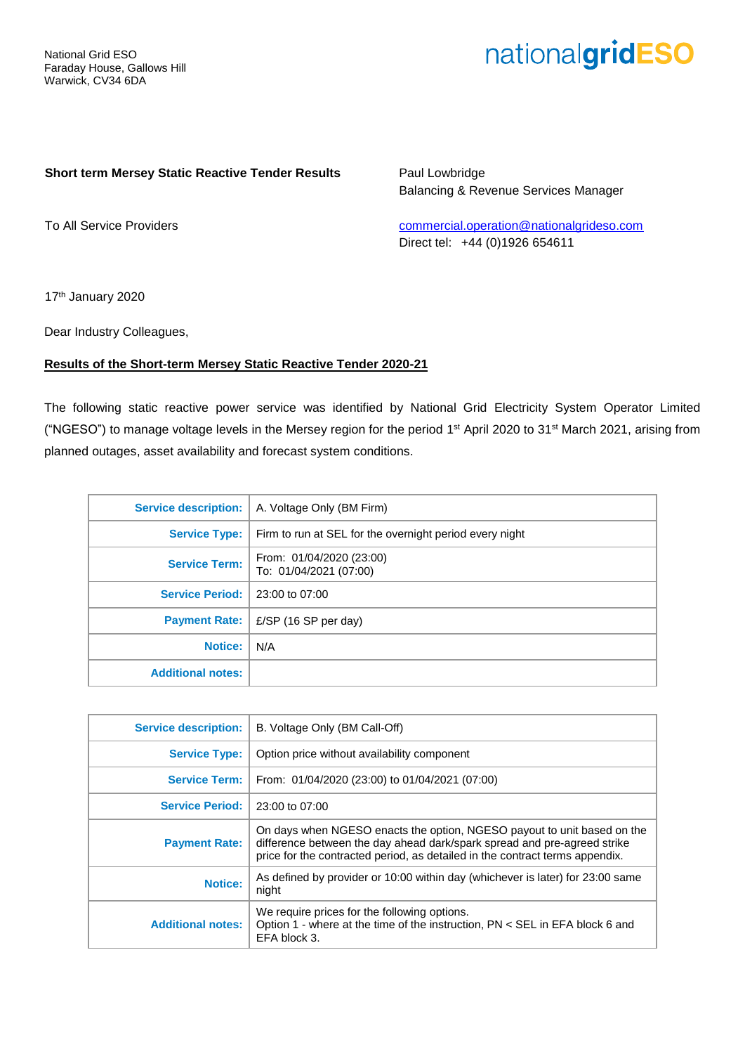# nationalgridESO

#### **Short term Mersey Static Reactive Tender Results**

Paul Lowbridge Balancing & Revenue Services Manager

To All Service Providers

[commercial.operation@nationalgrideso.com](mailto:commercial.operation@nationalgrideso.com) Direct tel: +44 (0)1926 654611

17<sup>th</sup> January 2020

Dear Industry Colleagues,

#### **Results of the Short-term Mersey Static Reactive Tender 2020-21**

The following static reactive power service was identified by National Grid Electricity System Operator Limited ("NGESO") to manage voltage levels in the Mersey region for the period 1st April 2020 to 31st March 2021, arising from planned outages, asset availability and forecast system conditions.

| <b>Service description:</b> | A. Voltage Only (BM Firm)                               |
|-----------------------------|---------------------------------------------------------|
| <b>Service Type:</b>        | Firm to run at SEL for the overnight period every night |
| <b>Service Term:</b>        | From: 01/04/2020 (23:00)<br>To: 01/04/2021 (07:00)      |
| Service Period:             | 23:00 to 07:00                                          |
| <b>Payment Rate:</b>        | £/SP (16 SP per day)                                    |
| <b>Notice:</b>              | N/A                                                     |
| <b>Additional notes:</b>    |                                                         |
|                             |                                                         |

| <b>Service description:</b> | B. Voltage Only (BM Call-Off)                                                                                                                                                                                                       |  |  |  |  |  |
|-----------------------------|-------------------------------------------------------------------------------------------------------------------------------------------------------------------------------------------------------------------------------------|--|--|--|--|--|
| <b>Service Type:</b>        | Option price without availability component                                                                                                                                                                                         |  |  |  |  |  |
| <b>Service Term:</b>        | From: 01/04/2020 (23:00) to 01/04/2021 (07:00)                                                                                                                                                                                      |  |  |  |  |  |
| <b>Service Period:</b>      | 23:00 to 07:00                                                                                                                                                                                                                      |  |  |  |  |  |
| <b>Payment Rate:</b>        | On days when NGESO enacts the option, NGESO payout to unit based on the<br>difference between the day ahead dark/spark spread and pre-agreed strike<br>price for the contracted period, as detailed in the contract terms appendix. |  |  |  |  |  |
| <b>Notice:</b>              | As defined by provider or 10:00 within day (whichever is later) for 23:00 same<br>night                                                                                                                                             |  |  |  |  |  |
| <b>Additional notes:</b>    | We require prices for the following options.<br>Option 1 - where at the time of the instruction, PN < SEL in EFA block 6 and<br>EFA block 3.                                                                                        |  |  |  |  |  |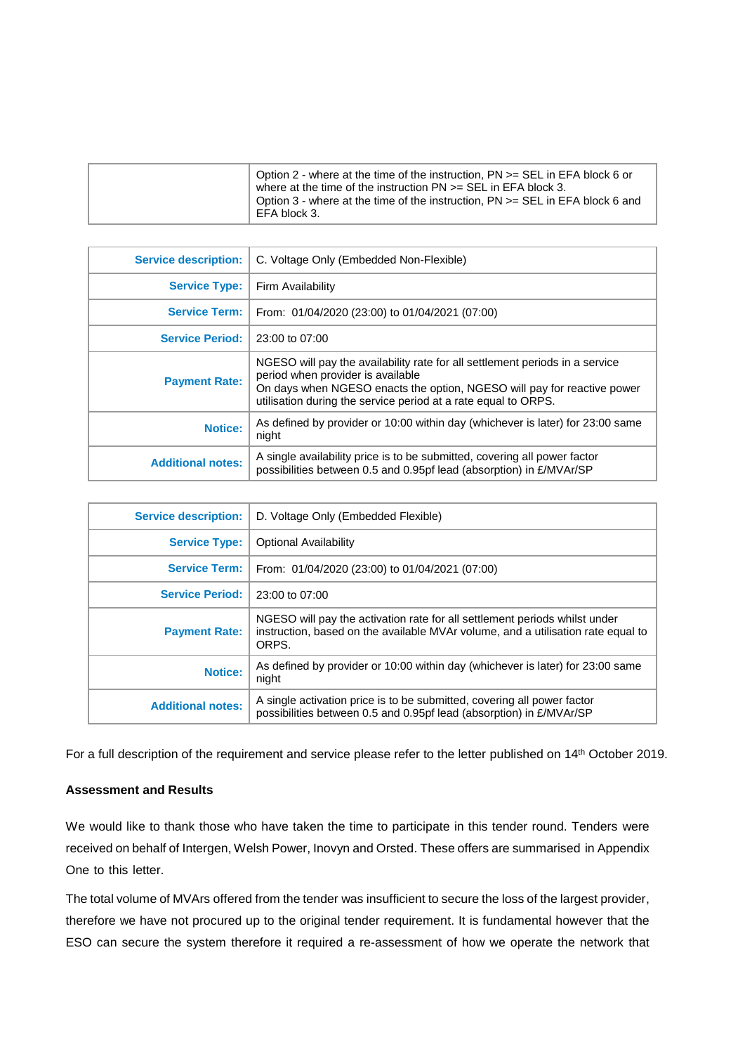| <b>Service description:</b> | C. Voltage Only (Embedded Non-Flexible)                                                                                                                                                                                                                        |  |  |  |  |  |
|-----------------------------|----------------------------------------------------------------------------------------------------------------------------------------------------------------------------------------------------------------------------------------------------------------|--|--|--|--|--|
| <b>Service Type:</b>        | Firm Availability                                                                                                                                                                                                                                              |  |  |  |  |  |
| <b>Service Term:</b>        | From: 01/04/2020 (23:00) to 01/04/2021 (07:00)                                                                                                                                                                                                                 |  |  |  |  |  |
| <b>Service Period:</b>      | 23:00 to 07:00                                                                                                                                                                                                                                                 |  |  |  |  |  |
| <b>Payment Rate:</b>        | NGESO will pay the availability rate for all settlement periods in a service<br>period when provider is available<br>On days when NGESO enacts the option, NGESO will pay for reactive power<br>utilisation during the service period at a rate equal to ORPS. |  |  |  |  |  |
| <b>Notice:</b>              | As defined by provider or 10:00 within day (whichever is later) for 23:00 same<br>night                                                                                                                                                                        |  |  |  |  |  |
| <b>Additional notes:</b>    | A single availability price is to be submitted, covering all power factor<br>possibilities between 0.5 and 0.95pf lead (absorption) in £/MVAr/SP                                                                                                               |  |  |  |  |  |

| <b>Service description:</b> | D. Voltage Only (Embedded Flexible)                                                                                                                                     |
|-----------------------------|-------------------------------------------------------------------------------------------------------------------------------------------------------------------------|
| <b>Service Type:</b>        | <b>Optional Availability</b>                                                                                                                                            |
| <b>Service Term:</b>        | From: 01/04/2020 (23:00) to 01/04/2021 (07:00)                                                                                                                          |
| <b>Service Period:</b>      | 23:00 to 07:00                                                                                                                                                          |
| <b>Payment Rate:</b>        | NGESO will pay the activation rate for all settlement periods whilst under<br>instruction, based on the available MVAr volume, and a utilisation rate equal to<br>ORPS. |
| <b>Notice:</b>              | As defined by provider or 10:00 within day (whichever is later) for 23:00 same<br>night                                                                                 |
| <b>Additional notes:</b>    | A single activation price is to be submitted, covering all power factor<br>possibilities between 0.5 and 0.95pf lead (absorption) in £/MVAr/SP                          |

For a full description of the requirement and service please refer to the letter published on 14<sup>th</sup> October 2019.

### **Assessment and Results**

We would like to thank those who have taken the time to participate in this tender round. Tenders were received on behalf of Intergen, Welsh Power, Inovyn and Orsted. These offers are summarised in Appendix One to this letter.

The total volume of MVArs offered from the tender was insufficient to secure the loss of the largest provider, therefore we have not procured up to the original tender requirement. It is fundamental however that the ESO can secure the system therefore it required a re-assessment of how we operate the network that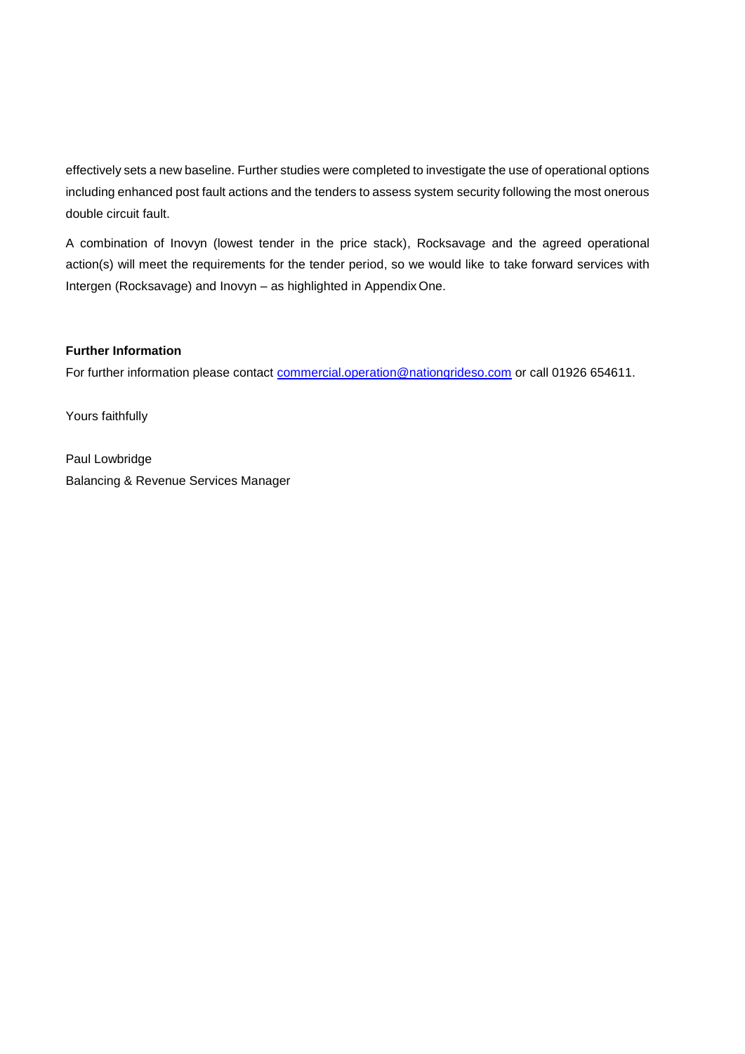effectively sets a new baseline. Further studies were completed to investigate the use of operational options including enhanced post fault actions and the tenders to assess system security following the most onerous double circuit fault.

A combination of Inovyn (lowest tender in the price stack), Rocksavage and the agreed operational action(s) will meet the requirements for the tender period, so we would like to take forward services with Intergen (Rocksavage) and Inovyn – as highlighted in Appendix One.

#### **Further Information**

For further information please contact [commercial.operation@nationgrideso.com](mailto:commercial.operation@nationgrideso.com) or call 01926 654611.

Yours faithfully

Paul Lowbridge Balancing & Revenue Services Manager